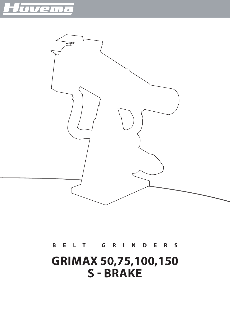



# **B E L T - G R I N D E R S**

# **GRIMAX 50,75,100,150 S - BRAKE**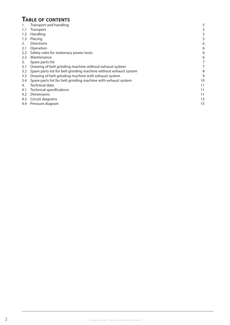# **Table of contents**

| 1.                    | Transport and handling                                            | 5  |
|-----------------------|-------------------------------------------------------------------|----|
| 1.1                   | <b>Transport</b>                                                  | 5  |
| 1.2                   | Handling                                                          |    |
| 1.3                   | Placing                                                           | 5  |
| $\mathcal{D}_{\cdot}$ | <b>Directions</b>                                                 | 6  |
| 2.1                   | Operation                                                         | 6  |
| 2.2                   | Safety rules for stationary power tools                           | 6  |
| 2.3                   | Maintenance                                                       | 6  |
| 3.                    | Spare parts list                                                  |    |
| 3.1                   | Drawing of belt grinding machine without exhaust system           |    |
| 3.2                   | Spare parts list for belt grinding machine without exhaust system | 8  |
| 3.3                   | Drawing of belt grinding machine with exhaust system              | 9  |
| 3.4                   | Spare parts list for belt grinding machine with exhaust system    | 10 |
| 4.                    | Technical data                                                    | 11 |
| 4.1                   | <b>Technical specifications</b>                                   | 11 |
| 4.2                   | Dimensions                                                        | 11 |
| 4.3                   | Circuit diagrams                                                  | 12 |
|                       | 4.4 Pressure diagram                                              | 15 |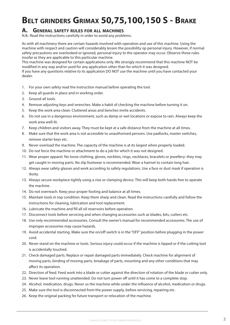# **Belt grinders Grimax 50,75,100,150 S - Brake**

## **A. General safety rules for all machines**

N.B.: Read the instructions carefully in order to avoid any problems.

As with all machinery there are certain hazards involved with operation and use of this machine. Using the machine with respect and caution will considerably lessen the possibility op personal injury. However, if normal safety precautions are overlooked or ignored, personal injury to the operator may occur. Observe these rules insofar as they are applicable to this particular machine.

This machine was designed for certain applications only. We strongly recommend that this machine NOT be modified in any way and/or used for any application other than for which it was designed.

If you have any questions relative to its application DO NOT use the machine until you have contacted your dealer.

- 1. For your own safety read the instruction manual before operating the tool.
- 2. Keep all guards in place and in working order.
- 3. Ground all tools.
- 4. Remove adjusting keys and wrenches. Make a habit of checking the machine before turning it on.
- 5. Keep the work area clean. Cluttered areas and benches invite accidents.
- 6. Do not use in a dangerous environment, such as damp or wet locations or expose to rain. Always keep the work area well-lit.
- 7. Keep children and visitors away. They must be kept at a safe distance from the machine at all times.
- 8. Make sure that the work area is not accessible to unauthorised persons. Use padlocks, master switches, remove starter keys etc.
- 9. Never overload the machine. The capacity of the machine is at its largest when properly loaded.
- 10. Do not force the machine or attachment to do a job for which it was not designed.
- 11. Wear proper apparel. No loose clothing, gloves, neckties, rings, necklaces, bracelets or jewellery: they may get caught in moving parts. No slip footwear is recommended. Wear a hairnet to contain long hair.
- 12. Always wear safety glasses and work according to safety regulations. Use a face or dust mask if operation is dusty.
- 13. Always secure workpiece tightly using a vise or clamping device. This will keep both hands free to operate the machine.
- 14. Do not overreach. Keep your proper footing and balance at all times.
- 15. Maintain tools in top condition. Keep them sharp and clean. Read the instructions carefully and follow the instructions for cleaning, lubrication and tool replacement.
- 16. Lubricate the machine and fill all oil reservoirs before operation.
- 17. Disconnect tools before servicing and when changing accessories such as blades, bits, cutters etc.
- 18. Use only recommended accessories. Consult the owner's manual for recommended accessories. The use of improper accessories may cause hazards.
- 19. Avoid accidental starting. Make sure the on/off switch is in the "OFF" position before plugging in the power cord.
- 20. Never stand on the machine or tools. Serious injury could occur if the machine is tipped or if the cutting tool is accidentally touched.
- 21. Check damaged parts. Replace or repair damaged parts immediately. Check machine for alignment of moving parts, binding of moving parts, breakage of parts, mounting and any other conditions that may affect its operation.
- 22. Direction of feed. Feed work into a blade or cutter against the direction of rotation of the blade or cutter only.
- 23. Never leave tool running unattended. Do not turn power off until it has come to a complete stop.
- 24. Alcohol, medication, drugs. Never us the machine while under the influence of alcohol, medication or drugs.
- 25. Make sure the tool is disconnected from the power supply, before servicing, repairing etc.
- 26. Keep the original packing for future transport or relocation of the machine.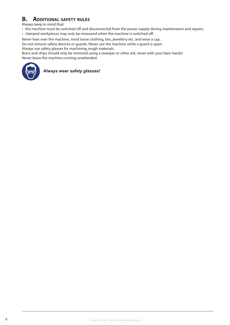# **B. Additional safety rules**

Always keep in mind that:

• the machine must be switched off and disconnected from the power supply during maintenance and repairs,

• clamped workpieces may only be measured when the machine is switched off.

Never lean over the machine, mind loose clothing, ties, jewellery etc. and wear a cap.

Do not remove safety devices or guards. Never use the machine while a guard is open.

Always use safety glasses for machining rough materials.

Burrs and chips should only be removed using a sweeper or other aid, never with your bare hands! Never leave the machine running unattended.



*Always wear safety glasses!*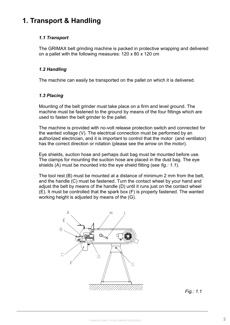# **1. Transport & Handling**

## *1.1 Transport*

The GRIMAX belt grinding machine is packed in protective wrapping and delivered on a pallet with the following measures: 120 x 80 x 120 cm

## *1.2 Handling*

The machine can easily be transported on the pallet on which it is delivered.

## *1.3 Placing*

Mounting of the belt grinder must take place on a firm and level ground. The machine must be fastened to the ground by means of the four fittings which are used to fasten the belt grinder to the pallet.

The machine is provided with no-volt release protection switch and connected for the wanted voltage (V). The electrical connection must be performed by an authorized electrician, and it is important to control that the motor (and ventilator) has the correct direction or rotation (please see the arrow on the motor).

Eye shields, suction hose and perhaps dust bag must be mounted before use. The clamps for mounting the suction hose are placed in the dust bag. The eye shields (A) must be mounted into the eye shield fitting (see *fig.: 1.1*).

The tool rest (B) must be mounted at a distance of minimum 2 mm from the belt, and the handle (C) must be fastened. Turn the contact wheel by your hand and adjust the belt by means of the handle (D) until it runs just on the contact wheel (E). It must be controlled that the spark box (F) is properly fastened. The wanted working height is adjusted by means of the (G).



*Fig.: 1.1*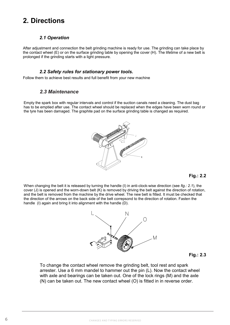# **2. Directions**

#### *2.1 Operation*

After adjustment and connection the belt grinding machine is ready for use. The grinding can take place by the contact wheel (E) or on the surface grinding table by opening the cover (H). The lifetime of a new belt is prolonged if the grinding starts with a light pressure.

#### *2.2 Safety rules for stationary power tools.*

Follow them to achieve best results and full benefit from your new machine

# *2.3 Safety rules for stationary power tools. 2.4 Maintenance 2.3 Maintenance*

Empty the spark box with regular intervals and control if the suction canals need a cleaning. The dust bag has to be emptied after use. The contact wheel should be replaced when the edges have been worn round or the tyre has been damaged. The graphite pad on the surface grinding table is changed as required.



#### **Fig.: 2.2**

prong receptacle, the When changing the belt it is released by turning the handle (I) in anti-clock-wise direction (see *fig.: 2.1*), the cover (J) is opened and the worn-down belt (K) is removed by driving the belt against the direction of rotation, and the belt is removed from the machine by the drive wheel. The new belt is fitted. It must be checked that the direction of the arrows on the back side of the belt correpsond to the direction of rotation. Fasten the handle (I) again and bring it into alignment with the handle (D).



**Fig.: 2.3**

To change the contact wheel remove the grinding belt, tool rest and spark arrester. Use a 6 mm mandel to hammer out the pin (L). Now the contact wheel with axle and bearings can be taken out. One of the lock rings (M) and the axle  $\left(\mathsf{N}\right)$  can be take  $(1)$  can be take (N) can be taken out. The new contact wheel (O) is fitted in in reverse order.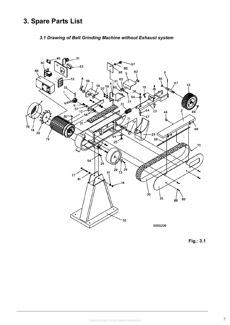# **3. Spare Parts List**

## *3.1 Drawing of Belt Grinding Machine without Exhaust system*



**Fig.: 3.1**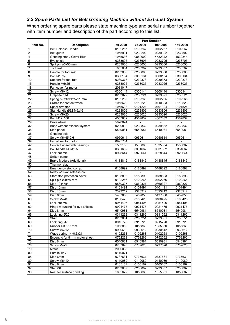## *3.2 Spare Parts List for Belt Grinding Machine without Exhaust System*

When ordering spare parts please state machine type and serial number together with item number and description of the part according to this list.

|                 |                                | <b>Part Number</b> |                          |                          |                          |  |  |
|-----------------|--------------------------------|--------------------|--------------------------|--------------------------|--------------------------|--|--|
| Item No.        | <b>Description</b>             | 50-2000            | 75-2000                  | 100-2000                 | 150-2000                 |  |  |
| $\overline{1}$  | <b>Belt Release Handle</b>     | 0102267            | 0102267                  | 0102267                  | 0102267                  |  |  |
| $\overline{2}$  | Belt guard                     | 1055931            | 0239202                  | 0239302                  | 0239502                  |  |  |
| $\overline{4}$  | Grinding stop / Cover Blue     | 1055636            | 0880002                  | 4532342                  | 4532344                  |  |  |
| $\overline{5}$  | Eve shield                     | 0233605            | 0233605                  | 0233705                  | 0233705                  |  |  |
| 6               | Split pin ø6x50 mm             | 0233050            | 0233050                  | 0233050                  | 0233050                  |  |  |
| $\overline{7}$  | Tool rest                      | 1055634            | 0233207                  | 0233307                  | 0233507                  |  |  |
| $\overline{8}$  | Handle for tool rest           | 0233808            | 0233808                  | 0233808                  | 0233808                  |  |  |
| $\overline{9}$  | Bolt M10x25                    | 0300134            | 0300134                  | 0300134                  | 0300134                  |  |  |
| 10              | Support for tool rest          | 0239373            | 0239373                  | 0239373                  | 0239373                  |  |  |
| 15              | Handle M6x25                   | 0233025            | 0233025                  | 0233025                  | 0233025                  |  |  |
| 18              | Fan cover for motor            | 2031017            | $\overline{\phantom{a}}$ | $\sim$                   | $\sim$                   |  |  |
| 20              | Screw M8x12                    | 0300144            | 0300144                  | 0300144                  | 0300144                  |  |  |
| 21              | Graphite pad                   | 0233022            | 0233221                  | 0233321                  | 0233521                  |  |  |
| 22              | Spring 5,5x43x125x11 mm        | 0102265            | 0102265                  | 0102265                  | 0102265                  |  |  |
| $\overline{23}$ | Cradle for contact wheel       | 1055629            | 0110223                  | 0110323                  | 0110523                  |  |  |
| $\overline{24}$ | Spark arrester                 | 1055638            | 0101224                  | 0101324                  | 0101524                  |  |  |
| 25              | Star Handle Ø32 M6x16          | 0233806            | 0233806                  | 0233806                  | 0233806                  |  |  |
| 26              | Screw M8x20                    | 0233020            | 0233020                  | 0233020                  | 0233020                  |  |  |
| 27              | <b>Bolt M12x100</b>            | 4567832            | 4567832                  | 4567832                  | 4567832                  |  |  |
| 29              | Drive wheel                    | 5020024            | $\overline{\phantom{a}}$ | $\overline{\phantom{a}}$ | $\overline{\phantom{a}}$ |  |  |
| 32              | Base without exhaust system    | 0239832            | 0239832                  | 0239832                  | 0239832                  |  |  |
| 35              | Side panel                     | 6549081            | 6549081                  | 6549081                  | 6549081                  |  |  |
| 36              | <b>Grinding belt</b>           |                    |                          |                          | $\overline{\phantom{a}}$ |  |  |
| 37              | Screw M6x45 CH                 | 0950614            | 0950614                  | 0950614                  | 0950614                  |  |  |
| 39              | Fan wheel for motor            | 0995704            |                          |                          |                          |  |  |
| 42              | Contact wheel with bearings    | 1532150            | 1535005                  | 1535004                  | 1535007                  |  |  |
| 44              | Ball handle M6xØ25             | 0331662            | 0331662                  | 0331662                  | 0331662                  |  |  |
| 47              | Lock nut M8                    | 0928644            | 0928644                  | 0928644                  | 0928644                  |  |  |
| 48              | Switch comp.                   |                    |                          | $\overline{\phantom{a}}$ |                          |  |  |
| 49              | Brake Module (Additional)      | 0188845            | 0188845                  | 0188845                  | 0188845                  |  |  |
| 50              | Thermo relay                   |                    |                          |                          |                          |  |  |
| 51              | Emergency stop comp.           | 0188892            | 0188892                  | 0188892                  | 0188892                  |  |  |
| 52              | Relay w/0-volt retease coil    |                    |                          |                          |                          |  |  |
| 53              | Start/stop protection cover    | 0188893            | 0188893                  | 0188893                  | 0188893                  |  |  |
| 55              | Split pin Ø4x50 mm             | 0102266            | 0102266                  | 0102266                  | 0102266                  |  |  |
| 56              | Disc 10x45x4                   | 0860327            | 0860327                  | 0860327                  | 0860327                  |  |  |
| 57              | Disc 10mm                      | 0101491            | 0101491                  | 0101491                  | 0101491                  |  |  |
| 58              | Disc 10mm                      | 2323212            | 2323212                  | 2323212                  | 2323212                  |  |  |
| 59              | Disc 8mm                       | 5437850            | 5437850                  | 5437850                  | 5437850                  |  |  |
| 60              | Screw M4x8                     | 0100425            | 0100425                  | 0100425                  | 0100425                  |  |  |
| 61              | Lock nut M6                    | 0951406            | 0951406                  | 0951406                  | 0951406                  |  |  |
| 62              | Hinge mounting for eye shields | 0921475            | 0921475                  | 0921475                  | 0921475                  |  |  |
| 64              | Disc 8mm                       | 6540981            | 6540981                  | 6510981                  | 6540981                  |  |  |
| 66              | Lock ring Ø20                  | 0311262            | 0311262                  | 0311262                  | 0311262                  |  |  |
| 67              | Shaft                          | 0233051            | 0233251                  | 0233351                  | 0233551                  |  |  |
| 68              | Lock ring Ø7                   | 0915720            | 0915720                  | 0915720                  | 0915720                  |  |  |
| 69              | Rubber list 657 mm             | 1055860            | 1055860                  | 1055860                  | 1055860                  |  |  |
| $\overline{70}$ | Screw M6x12                    | 0930612            | 0930612                  | 0930612                  | 0930612                  |  |  |
| 71              | Wave spring 14x0.3x21          | 0102268            | 0102268                  | 0102268                  | 0102268                  |  |  |
| 72              | Eccentric for 8 mm motor sheet | 0752262            | 0752262                  | 0752262                  | 0752262                  |  |  |
| 73              | Disc 8mm                       | 6540981            | 6540981                  | 6510981                  | 6540981                  |  |  |
| 78              | Screw M4x5                     | 0737620            | 0737620                  | 0737620                  | 0737620                  |  |  |
| 79              | Motor                          | 2030038            |                          | $\overline{\phantom{a}}$ | $\overline{\phantom{a}}$ |  |  |
| 80              | Parallel key                   | 0110071            |                          |                          |                          |  |  |
| 88              | Disc 6mm                       | 0737631            | 0737631                  | 0737631                  | 0737631                  |  |  |
| 89              | Screw M6x10                    | 0110089            | 0110089                  | 0110089                  | 0110089                  |  |  |
| 91              | Disc 8mm                       | 0105167            | 0105167                  | 0105167                  | 0105167                  |  |  |
| 97              | Star M6                        | 0233807            | 0233807                  | 0233807                  | 0233807                  |  |  |
| 98              | Rest for surface grinding      | 1055679            | 1055680                  | 1055681                  | 1055682                  |  |  |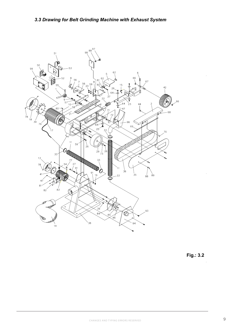

**Fig.: 3.2**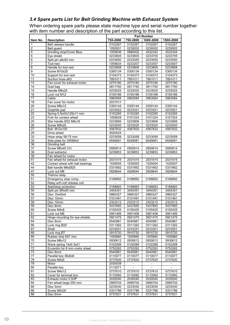## *3.4 Spare parts List for Belt Grinding Machine with Exhaust System*

When ordering spare parts please state machine type and serial number together with item number and description of the part according to this list.

|                 |                                  | <b>Part Number</b> |                          |           |                          |
|-----------------|----------------------------------|--------------------|--------------------------|-----------|--------------------------|
| Item No.        | <b>Description</b>               | 75X-2000           | 75X-2000                 | 100X-2000 | 150X-2000                |
| 1               | Belt release handle              | 0102267            | 0102267                  | 0102267   | 0102267                  |
| 2               | Belt quard                       | 1055931            | 0239202                  | 0239302   | 0239502                  |
| 4               | Grinding stop/Cover Blue         | 1055636            | 0880002                  | 4532342   | 4532344                  |
| $\overline{5}$  | Eye shield                       | 0233605            | 0233605                  | 0233705   | 0233705                  |
| $\overline{6}$  | Split pin ø6x50 mm               | 0233050            | 0233050                  | 0233050   | 0233050                  |
| 7               | Tool rest                        | 1055634            | 0233207                  | 0233307   | 0233507                  |
| $\overline{8}$  | Handle for tool rest             | 0233808            | 0233808                  | 0233808   | 0233808                  |
| $\overline{9}$  | Screw M10x25                     | 0300134            | 0300134                  | 0300134   | 0300134                  |
| 10              | Support for tool rest            | 0104373            | 0104373                  | 0104373   | 0104373                  |
| 11              | Suction hose ø63                 | 7891011            | 7891011                  | 7891011   | 7891011                  |
| 13              | Fan cover for exhaust motor      | 2075180            | 2075180                  | 2075180   | 2075180                  |
| 14              | Dust bag                         | 0811793            | 0811793                  | 0811793   | 0811793                  |
| 15              | Handle M6x25                     | 0233025            | 0233025                  | 0233025   | 0233025                  |
| 16              | Lock nut M12                     | 0105166            | 0105166                  | 0105166   | 0105166                  |
| 17              | Cable                            | 0963084            | 0963084                  | 0963084   | 0963084                  |
| 18              | Fan cover for motor              | 2031017            |                          |           |                          |
| 20              | Screw M8x12                      | 0300144            | 0300144                  | 0300144   | 0300144                  |
| 21              | Graphite pad                     | 0233022            | 0233221                  | 0233321   | 0233521                  |
| 22              | Spring 5,5x43x125x11 mm          | 0102265            | 0102265                  | 0102265   | 0102265                  |
| 23              | Fork for contact wheel           | 1055629            | 0101224                  | 0101324   | 0101524                  |
| $\overline{25}$ | Star handle Ø32 M6x16            | 0233806            | 0233806                  | 0233806   | 0233806                  |
| 26              | Screw M8x20                      | 0233020            | 0233020                  | 0233020   | 0233020                  |
| 27              | Bolt M12x100                     | 4567832            | 4567832                  | 4567832   | 4567832                  |
| 29              | Drive wheel                      | 5020024            |                          |           |                          |
| 33              | Hose strap 58-75 mm              | 0233058            | 0233058                  | 0233058   | 0233058                  |
| 35              | Side plate for GRIMAX            | 6549081            | 6549081                  | 6549081   | 6549081                  |
| 36              | Grinding belt                    |                    |                          |           |                          |
| $\overline{37}$ | Screw M6x45 CH                   | 0950614            | 0950614                  | 0950614   | 0950614                  |
| 38              | Dust extractor                   | 0239853            | 0239853                  | 0239853   | 0239853                  |
| 39              | Fan wheel for motor              |                    |                          |           |                          |
| 41              | Fan wheel for exhaust motor      | 2031015            | 2031015                  | 2031015   | 2031015                  |
| 42              | Contact wheel with ball bearings | 1535005            | 1535005                  | 1535004   | 1535007                  |
| 44              | Ball handle M6xØ25               | 0331662            | 0331662                  | 0331662   | 0331662                  |
| $\overline{47}$ | Lock nut M8                      | 0928644            | 0928644                  | 0928644   | 0928644                  |
| 50              | Thermo relay                     |                    |                          |           | $\overline{\phantom{a}}$ |
| 51              | Emergency stop comp.             | 0188892            | 0188892                  | 0188892   | 0188892                  |
| 52              | Relay w/0-volt retease coil      |                    |                          |           |                          |
| 53              | Start/stop protection            | 0188893            | 0188893                  | 0188893   | 0188893                  |
| $\overline{55}$ | Split pin Ø4x50 mm               | 3454351            | 3454351                  | 3454351   | 3454351                  |
| 56              | Disc 10x45x4                     | 0860327            | 0860327                  | 0860327   | 0860327                  |
| 57              | Disc 10mm                        | 0101491            | 0101491                  | 0101491   | 0101491                  |
| 58              | Disc 10mm                        | 2323212            | 2323212                  | 2323212   | 2323212                  |
| 59              | Disc 8mm                         | 5437850            | 5437850                  | 5437850   | 5437850                  |
| 60              | Screw M4x8                       | 0100425            | 0100425                  | 0100425   | 0100425                  |
| 61              | Lock nut M6                      | 0951406            | 0951406                  | 0951406   | 0951406                  |
| 62              | Hinge mounting for eye shields   | 0921475            | 0921475                  | 0921475   | 0921475                  |
| 64              | Disc 8mm                         | 6540981            | 6540981                  | 6540981   | 6540981                  |
| 66              | Lock ring Ø20                    | 0311262            | 0311262                  | 0311262   | 0311262                  |
| 67              | Shaft                            | 0233051            | 0233251                  | 0233351   | 0233551                  |
| 68              | Lock ring Ø7                     | 0915720            | 0915720                  | 0915720   | 0915720                  |
| 69              | Rubber strip 657 mm              | 1055860            | 1055860                  | 1055860   | 1055860                  |
| 70              | Screw M6x12                      | 0930612            | 0930612                  | 0930612   | 0930612                  |
| 71              | Wave spring 14x0.3x21            | 0102268            | 0102268                  | 0102268   | 0102268                  |
| 72              | Eccentric for 8 mm motor sheet   | 0752262            | 0752262                  | 0752262   | 0752262                  |
| 73              | Disc 8mm                         | 6540981            | 6540981                  | 6540981   | 6540981                  |
| $\overline{77}$ | Parallel key 36x6x6              | 0110077            | 0110077                  | 0110077   | 0110077                  |
| $\overline{78}$ | Screw M4x5                       | 0737620            | 0737620                  | 0737620   | 0737620                  |
| 79              | Motor                            | 2030038            | $\overline{\phantom{a}}$ |           | $\overline{\phantom{a}}$ |
| 80              | Parallel key                     | 0110071            |                          |           |                          |
| 81              | Screw M4x12                      | 0737610            | 0737610                  | 0737610   | 0737610                  |
| 82              | Cover for terminal box           | 0110082            | 0110082                  | 0110082   | 0110082                  |
| 83              | Exhaust motor 0.5HP              | 2030040            | 2030040                  | 2030040   | 2030040                  |
| 84              | Fan wheel large 250 mm           | 0995704            | 0995704                  | 0995704   | 0995704                  |
| 85              | Disc 5mm                         | 0233030            | 0233030                  | 0233030   | 0233030                  |
| 86              | Screw M5x30                      | 0331786            | 0331786                  | 0331786   | 0331786                  |
| 88              | Disc 6mm                         | 0737631            | 0737631                  | 0737631   | 0737631                  |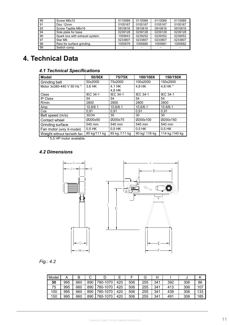| 89 | Screw M6x10                   | 0110089                  | 0110089 | 0110089 | 0110089 |
|----|-------------------------------|--------------------------|---------|---------|---------|
| 91 | Disc 12mm                     | 0105167                  | 0105167 | 0105167 | 0105167 |
| 93 | Screw Taptite M6x16           | 0910616                  | 0910616 | 0910616 | 0910616 |
| 94 | Side plate for base           | 0239128                  | 0239128 | 0239128 | 0239128 |
| 96 | Spark box with exhaust system | 1055643                  | 0239252 | 0239352 | 0239552 |
| 97 | Star M6                       | 0233807                  | 0233807 | 0233807 | 0233807 |
| 98 | Rest for surface grinding     | 1055679                  | 1055680 | 1055681 | 1055682 |
| 99 | Switch comp.                  | $\overline{\phantom{0}}$ |         |         |         |

# **4. Technical Data**

|  |  |  |  |  |  | <b>4.1 Technical Specifications</b> |
|--|--|--|--|--|--|-------------------------------------|
|--|--|--|--|--|--|-------------------------------------|

| <b>Model</b>                | 50/50X          | 75/75X           | 100/100X        | 150/150X        |
|-----------------------------|-----------------|------------------|-----------------|-----------------|
| Grinding belt               | 50x2000         | 75x2000          | 100x2000        | 150x2000        |
| Motor 3x380-440 V 50 Hz *   | 3.6 HK          | 4.1 HK<br>4.8 HK | 4.8 HK          | 4.8 HK *        |
| Class                       | <b>IEC 34-1</b> | <b>IEC 34-1</b>  | <b>IEC 34-1</b> | <b>IEC 34-1</b> |
| <b>IP Class</b>             | 54              | 54               | 54              | 54              |
| R/min.                      | 2800            | 2800             | 2800            | 2800            |
| Amp                         | 10.6/6.1        | 10.6/6.1         | 10.6/6.1        | 10.6/6.1        |
| Cos                         | 0.91            | 0.91             | 0.91            | 0,91            |
| Belt speed (m/s)            | 30/34           | 30               | 30              | 30              |
| Contact wheel               | Ø200x50         | Ø200x75          | Ø200x100        | Ø200x150        |
| Grinding surface            | 540 mm          | 540 mm           | 540 mm          | 540 mm          |
| Fan motor (only X-model)    | $0.5$ HK        | $0.5$ HK         | $0.5$ HK        | $0.5$ HK        |
| Weight without fan/with fan | 85 kg/111 kg    | 85 kg /111 kg    | 90 kg/ 116 kg   | 114 kg /140 kg  |

\* 5,5 HP motor available.

## *4.2 Dimensions*



# *Fig.: 4.2*

| Model | А   | B   | ⌒<br>ັ |          |     |     | G   | Н   |     | ັບ  |     |
|-------|-----|-----|--------|----------|-----|-----|-----|-----|-----|-----|-----|
| 50    | 995 | 660 | 890    | 780-1070 | 420 | 506 | 255 | 341 | 392 | 306 | 86  |
| 75    | 995 | 660 | 890    | 780-1070 | 420 | 506 | 255 | 341 | 413 | 306 | 107 |
| 100   | 995 | 660 | 890    | 780-1070 | 420 | 506 | 255 | 341 | 439 | 306 | 133 |
| 150   | 995 | 660 | 890    | 780-1070 | 420 | 506 | 255 | 341 | 491 | 306 | 185 |

12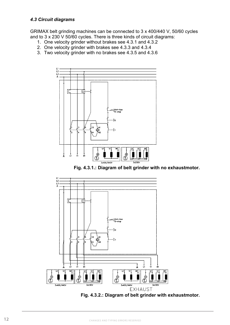GRIMAX belt grinding machines can be connected to 3 x 400/440 V, 50/60 cycles and to 3 x 230 V 50/60 cycles. There is three kinds of circuit diagrams:

- 1. One velocity grinder without brakes see 4.3.1 and 4.3.2
- 2. One velocity grinder with brakes see 4.3.3 and 4.3.4
- 3. Two velocity grinder with no brakes see 4.3.5 and 4.3.6



**Fig. 4.3.1.: Diagram of belt grinder with no exhaustmotor.**



**Fig. 4.3.2.: Diagram of belt grinder with exhaustmotor.**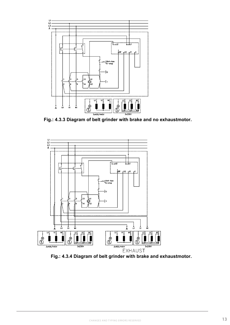

**Fig.: 4.3.3 Diagram of belt grinder with brake and no exhaustmotor.**



**Fig.: 4.3.4 Diagram of belt grinder with brake and exhaustmotor.**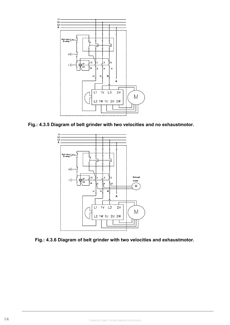

**Fig.: 4.3.5 Diagram of belt grinder with two velocities and no exhaustmotor.**



**Fig.: 4.3.6 Diagram of belt grinder with two velocities and exhaustmotor.**

16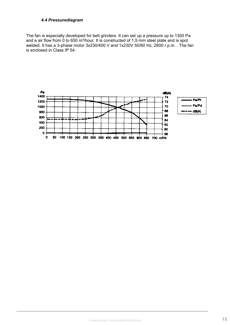#### *4.4 Pressurediagram*

The fan is especially developed for belt grinders. It can set up a pressure up to 1300 Pa and a air flow from  $\overline{0}$  to 650 m<sup>3</sup>/hour. It is constructed of 1,5 mm steel plate and is spot welded. It has a 3-phase motor 3x230/400 V and 1x230V 50/60 Hz, 2800 r.p.m. . The fan is enclosed in Class IP 54.

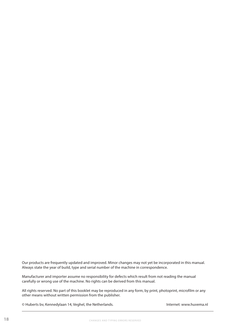Our products are frequently updated and improved. Minor changes may not yet be incorporated in this manual. Always state the year of build, type and serial number of the machine in correspondence.

Manufacturer and importer assume no responsibility for defects which result from not reading the manual carefully or wrong use of the machine. No rights can be derived from this manual.

All rights reserved. No part of this booklet may be reproduced in any form, by print, photoprint, microfilm or any other means without written permission from the publisher.

© Huberts bv, Kennedylaan 14, Veghel, the Netherlands. Internet: www.huvema.nl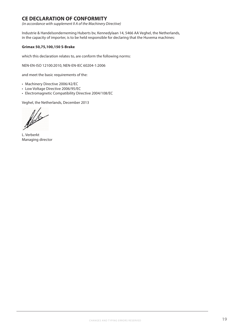## **CE DECLARATION OF CONFORMITY**

*(in accordance with supplement II A of the Machinery Directive)*

Industrie & Handelsonderneming Huberts bv, Kennedylaan 14, 5466 AA Veghel, the Netherlands, in the capacity of importer, is to be held responsible for declaring that the Huvema machines:

#### **Grimax 50,75,100,150 S-Brake**

which this declaration relates to, are conform the following norms:

NEN-EN-ISO 12100:2010, NEN-EN-IEC 60204-1:2006

and meet the basic requirements of the:

- Machinery Directive 2006/42/EC
- Low Voltage Directive 2006/95/EC
- Electromagnetic Compatibility Directive 2004/108/EC

Veghel, the Netherlands, December 2013

L. Verberkt Managing director